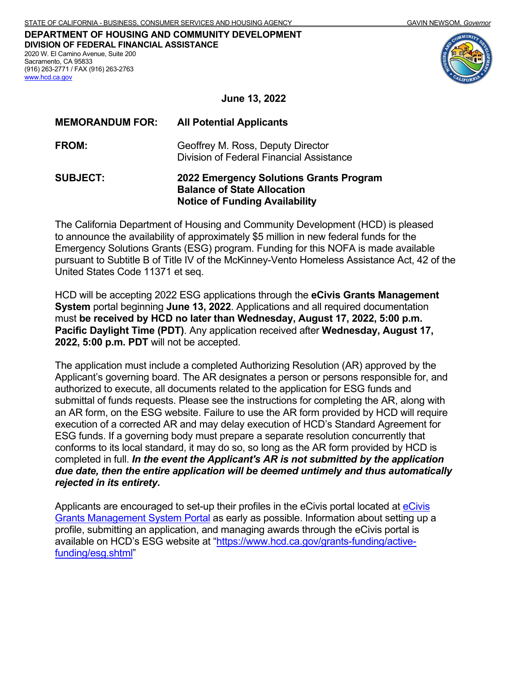**DEPARTMENT OF HOUSING AND COMMUNITY DEVELOPMENT DIVISION OF FEDERAL FINANCIAL ASSISTANCE** 2020 W. El Camino Avenue, Suite 200 Sacramento, CA 95833 (916) 263-2771 / FAX (916) 263-2763 [www.hcd.ca.gov](http://www.hcd.ca.gov/)

**June 13, 2022**

| <b>MEMORANDUM FOR:</b> | <b>All Potential Applicants</b>                                                                                        |
|------------------------|------------------------------------------------------------------------------------------------------------------------|
| <b>FROM:</b>           | Geoffrey M. Ross, Deputy Director<br>Division of Federal Financial Assistance                                          |
| <b>SUBJECT:</b>        | 2022 Emergency Solutions Grants Program<br><b>Balance of State Allocation</b><br><b>Notice of Funding Availability</b> |

The California Department of Housing and Community Development (HCD) is pleased to announce the availability of approximately \$5 million in new federal funds for the Emergency Solutions Grants (ESG) program. Funding for this NOFA is made available pursuant to Subtitle B of Title IV of the McKinney-Vento Homeless Assistance Act, 42 of the United States Code 11371 et seq.

HCD will be accepting 2022 ESG applications through the **eCivis Grants Management System** portal beginning **June 13, 2022**. Applications and all required documentation must **be received by HCD no later than Wednesday, August 17, 2022, 5:00 p.m. Pacific Daylight Time (PDT)**. Any application received after **Wednesday, August 17, 2022, 5:00 p.m. PDT** will not be accepted.

The application must include a completed Authorizing Resolution (AR) approved by the Applicant's governing board. The AR designates a person or persons responsible for, and authorized to execute, all documents related to the application for ESG funds and submittal of funds requests. Please see the instructions for completing the AR, along with an AR form, on the ESG website. Failure to use the AR form provided by HCD will require execution of a corrected AR and may delay execution of HCD's Standard Agreement for ESG funds. If a governing body must prepare a separate resolution concurrently that conforms to its local standard, it may do so, so long as the AR form provided by HCD is completed in full. *In the event the Applicant's AR is not submitted by the application due date, then the entire application will be deemed untimely and thus automatically rejected in its entirety***.** 

Applicants are encouraged to set-up their profiles in the [eCivis](https://portal.ecivis.com/#/login) portal located at eCivis [Grants Management System Portal](https://portal.ecivis.com/#/login) as early as possible. Information about setting up a profile, submitting an application, and managing awards through the eCivis portal is available on HCD's ESG website at ["https://www.hcd.ca.gov/grants-funding/active](https://www.hcd.ca.gov/grants-funding/active-funding/esg.shtml)[funding/esg.shtml"](https://www.hcd.ca.gov/grants-funding/active-funding/esg.shtml)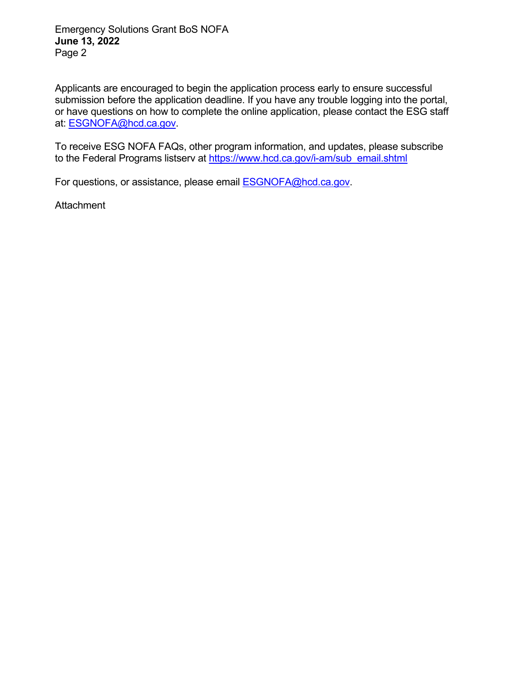Emergency Solutions Grant BoS NOFA **June 13, 2022**  Page 2

Applicants are encouraged to begin the application process early to ensure successful submission before the application deadline. If you have any trouble logging into the portal, or have questions on how to complete the online application, please contact the ESG staff at: [ESGNOFA@hcd.ca.gov.](mailto:ESGNOFA@hcd.ca.gov)

To receive ESG NOFA FAQs, other program information, and updates, please subscribe to the Federal Programs listserv at https://www.hcd.ca.gov/i-am/sub\_email.shtml

For questions, or assistance, please email **ESGNOFA@hcd.ca.gov.** 

**Attachment**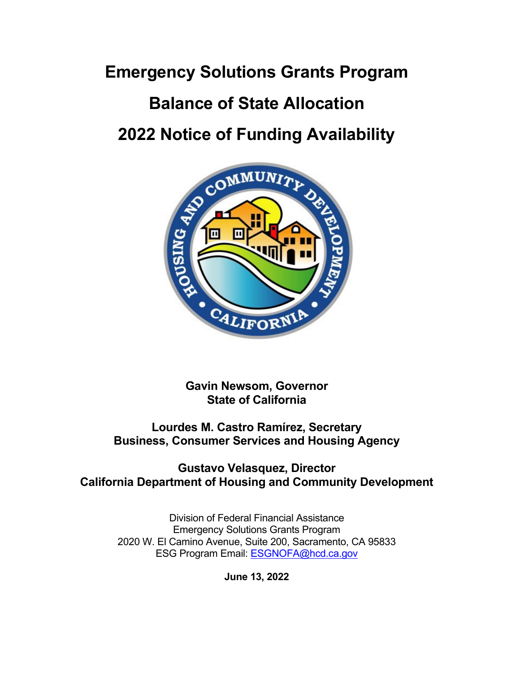# **Emergency Solutions Grants Program Balance of State Allocation 2022 Notice of Funding Availability**



**Gavin Newsom, Governor State of California**

**Lourdes M. Castro Ramírez, Secretary Business, Consumer Services and Housing Agency**

**Gustavo Velasquez, Director California Department of Housing and Community Development**

> Division of Federal Financial Assistance Emergency Solutions Grants Program 2020 W. El Camino Avenue, Suite 200, Sacramento, CA 95833 ESG Program Email: [ESGNOFA@hcd.ca.gov](mailto:ESGNOFA@hcd.ca.gov)

> > **June 13, 2022**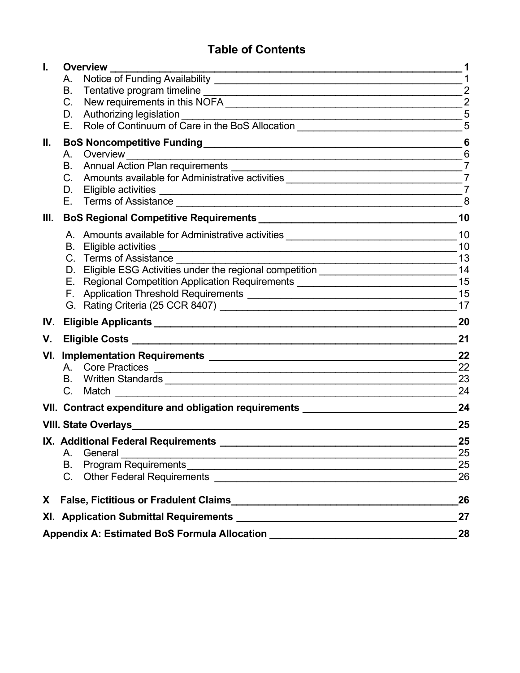# **Table of Contents**

| I.   | Overview                                                                                                   |                |  |  |  |  |
|------|------------------------------------------------------------------------------------------------------------|----------------|--|--|--|--|
|      | A.                                                                                                         | 1              |  |  |  |  |
|      | В.                                                                                                         | $\overline{2}$ |  |  |  |  |
|      | $C_{\cdot}$                                                                                                | $\overline{2}$ |  |  |  |  |
|      | D.                                                                                                         | 5              |  |  |  |  |
|      | Role of Continuum of Care in the BoS Allocation<br>Е.                                                      | 5              |  |  |  |  |
| Ш.   | BoS Noncompetitive Funding 6                                                                               |                |  |  |  |  |
|      | A. Overview                                                                                                | 6              |  |  |  |  |
|      |                                                                                                            | $\overline{7}$ |  |  |  |  |
|      | Amounts available for Administrative activities <b>Common Contract Contract and Amounts</b><br>$C_{\cdot}$ | $\overline{7}$ |  |  |  |  |
|      |                                                                                                            | $\overline{7}$ |  |  |  |  |
|      |                                                                                                            | 8              |  |  |  |  |
| III. |                                                                                                            | 10             |  |  |  |  |
|      | A. Amounts available for Administrative activities _____________________________                           | 10             |  |  |  |  |
|      |                                                                                                            | 10             |  |  |  |  |
|      | C. Terms of Assistance                                                                                     | 13             |  |  |  |  |
|      | D. Eligible ESG Activities under the regional competition ______________________                           | 14             |  |  |  |  |
|      | E. Regional Competition Application Requirements _______________________________                           | 15             |  |  |  |  |
|      |                                                                                                            | 15             |  |  |  |  |
|      |                                                                                                            | 17             |  |  |  |  |
| IV.  |                                                                                                            | 20             |  |  |  |  |
| V.   |                                                                                                            | 21             |  |  |  |  |
| VI.  |                                                                                                            | 22             |  |  |  |  |
|      |                                                                                                            | 22             |  |  |  |  |
|      |                                                                                                            | 23             |  |  |  |  |
|      |                                                                                                            | 24             |  |  |  |  |
|      | VII. Contract expenditure and obligation requirements __________________________                           | 24             |  |  |  |  |
|      | VIII. State Overlays                                                                                       | 25             |  |  |  |  |
|      |                                                                                                            | 25             |  |  |  |  |
|      | General<br>А.                                                                                              | 25             |  |  |  |  |
|      | В.                                                                                                         | 25             |  |  |  |  |
|      | $C_{\cdot}$<br>Other Federal Requirements <b>contained a manufature of the container and container</b>     | 26             |  |  |  |  |
| X.   |                                                                                                            | 26             |  |  |  |  |
|      |                                                                                                            | 27             |  |  |  |  |
|      | Appendix A: Estimated BoS Formula Allocation ___________________________________<br>28                     |                |  |  |  |  |
|      |                                                                                                            |                |  |  |  |  |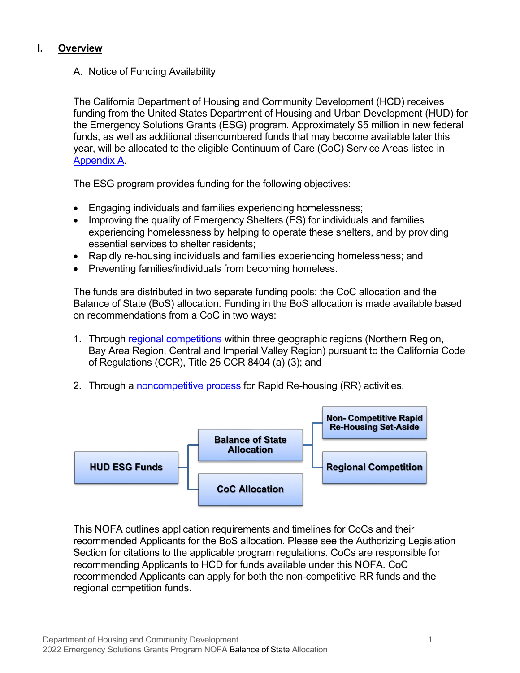# <span id="page-4-1"></span><span id="page-4-0"></span>**I. Overview**

A. Notice of Funding Availability

The California Department of Housing and Community Development (HCD) receives funding from the United States Department of Housing and Urban Development (HUD) for the Emergency Solutions Grants (ESG) program. Approximately \$5 million in new federal funds, as well as additional disencumbered funds that may become available later this year, will be allocated to the eligible Continuum of Care (CoC) Service Areas listed in [Appendix A.](#page-30-1)

The ESG program provides funding for the following objectives:

- Engaging individuals and families experiencing homelessness;
- Improving the quality of Emergency Shelters (ES) for individuals and families experiencing homelessness by helping to operate these shelters, and by providing essential services to shelter residents;
- Rapidly re-housing individuals and families experiencing homelessness; and
- Preventing families/individuals from becoming homeless.

The funds are distributed in two separate funding pools: the CoC allocation and the Balance of State (BoS) allocation. Funding in the BoS allocation is made available based on recommendations from a CoC in two ways:

- 1. Through [regional competitions](#page-13-0) within three geographic regions (Northern Region, Bay Area Region, Central and Imperial Valley Region) pursuant to the California Code of Regulations (CCR), Title 25 CCR 8404 (a) (3); and
- 2. Through a [noncompetitive process](#page-9-0) for Rapid Re-housing (RR) activities.



This NOFA outlines application requirements and timelines for CoCs and their recommended Applicants for the BoS allocation. Please see the Authorizing Legislation Section for citations to the applicable program regulations. CoCs are responsible for recommending Applicants to HCD for funds available under this NOFA. CoC recommended Applicants can apply for both the non-competitive RR funds and the regional competition funds.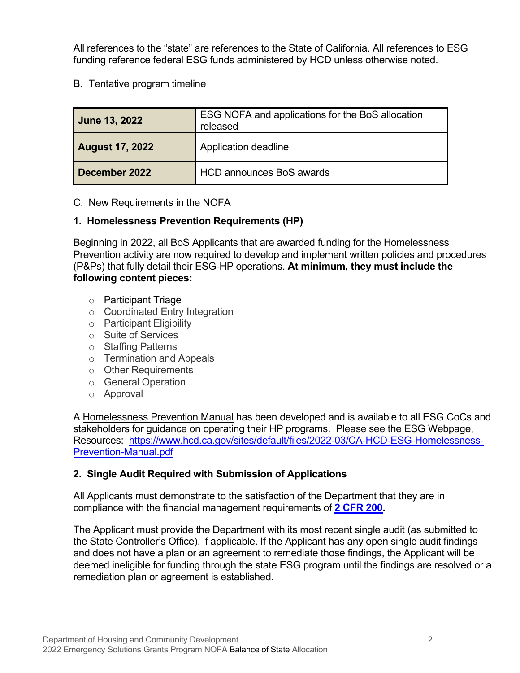All references to the "state" are references to the State of California. All references to ESG funding reference federal ESG funds administered by HCD unless otherwise noted.

#### <span id="page-5-0"></span>B. Tentative program timeline

| June 13, 2022          | ESG NOFA and applications for the BoS allocation<br>released |  |  |  |  |  |
|------------------------|--------------------------------------------------------------|--|--|--|--|--|
| <b>August 17, 2022</b> | Application deadline                                         |  |  |  |  |  |
| December 2022          | <b>HCD announces BoS awards</b>                              |  |  |  |  |  |

#### <span id="page-5-1"></span>C. New Requirements in the NOFA

# **1. Homelessness Prevention Requirements (HP)**

Beginning in 2022, all BoS Applicants that are awarded funding for the Homelessness Prevention activity are now required to develop and implement written policies and procedures (P&Ps) that fully detail their ESG-HP operations. **At minimum, they must include the following content pieces:** 

- o Participant Triage
- o Coordinated Entry Integration
- o Participant Eligibility
- o Suite of Services
- o Staffing Patterns
- o Termination and Appeals
- o Other Requirements
- o General Operation
- o Approval

A Homelessness Prevention Manual has been developed and is available to all ESG CoCs and stakeholders for guidance on operating their HP programs. Please see the ESG Webpage, Resources: [https://www.hcd.ca.gov/sites/default/files/2022-03/CA-HCD-ESG-Homelessness-](https://www.hcd.ca.gov/sites/default/files/2022-03/CA-HCD-ESG-Homelessness-Prevention-Manual.pdf)[Prevention-Manual.pdf](https://www.hcd.ca.gov/sites/default/files/2022-03/CA-HCD-ESG-Homelessness-Prevention-Manual.pdf) 

# **2. Single Audit Required with Submission of Applications**

All Applicants must demonstrate to the satisfaction of the Department that they are in compliance with the financial management requirements of **[2 CFR 200.](https://www.law.cornell.edu/cfr/text/2/part-200)** 

The Applicant must provide the Department with its most recent single audit (as submitted to the State Controller's Office), if applicable. If the Applicant has any open single audit findings and does not have a plan or an agreement to remediate those findings, the Applicant will be deemed ineligible for funding through the state ESG program until the findings are resolved or a remediation plan or agreement is established.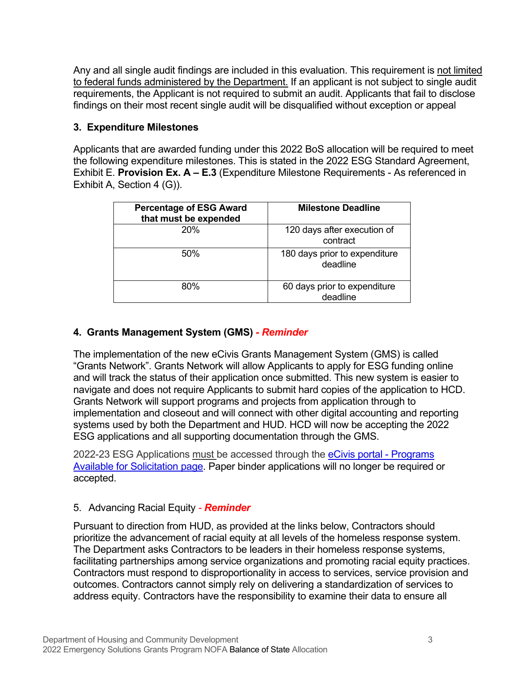Any and all single audit findings are included in this evaluation. This requirement is not limited to federal funds administered by the Department. If an applicant is not subject to single audit requirements, the Applicant is not required to submit an audit. Applicants that fail to disclose findings on their most recent single audit will be disqualified without exception or appeal

#### **3. Expenditure Milestones**

Applicants that are awarded funding under this 2022 BoS allocation will be required to meet the following expenditure milestones. This is stated in the 2022 ESG Standard Agreement, Exhibit E. **Provision Ex. A – E.3** (Expenditure Milestone Requirements - As referenced in Exhibit A, Section 4 (G)).

| <b>Percentage of ESG Award</b><br>that must be expended | <b>Milestone Deadline</b>                 |
|---------------------------------------------------------|-------------------------------------------|
| 20%                                                     | 120 days after execution of<br>contract   |
| 50%                                                     | 180 days prior to expenditure<br>deadline |
| 80%                                                     | 60 days prior to expenditure<br>deadline  |

# <span id="page-6-0"></span>**4. Grants Management System (GMS)** *- Reminder*

The implementation of the new eCivis Grants Management System (GMS) is called "Grants Network". Grants Network will allow Applicants to apply for ESG funding online and will track the status of their application once submitted. This new system is easier to navigate and does not require Applicants to submit hard copies of the application to HCD. Grants Network will support programs and projects from application through to implementation and closeout and will connect with other digital accounting and reporting systems used by both the Department and HUD. HCD will now be accepting the 2022 ESG applications and all supporting documentation through the GMS.

2022-23 ESG Applications must be accessed through the [eCivis portal - Programs](https://gn.ecivis.com/GO/gn_redir/T/vyjsqf2kekyx)  [Available for Solicitation page.](https://gn.ecivis.com/GO/gn_redir/T/vyjsqf2kekyx) Paper binder applications will no longer be required or accepted.

# 5. Advancing Racial Equity *- Reminder*

Pursuant to direction from HUD, as provided at the links below, Contractors should prioritize the advancement of racial equity at all levels of the homeless response system. The Department asks Contractors to be leaders in their homeless response systems, facilitating partnerships among service organizations and promoting racial equity practices. Contractors must respond to disproportionality in access to services, service provision and outcomes. Contractors cannot simply rely on delivering a standardization of services to address equity. Contractors have the responsibility to examine their data to ensure all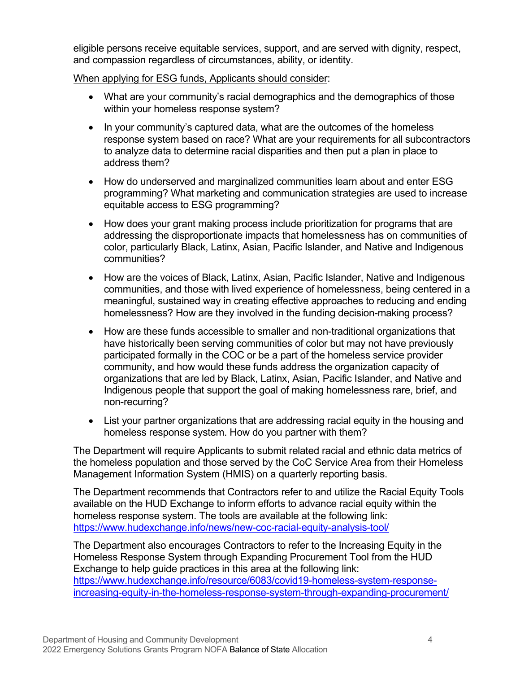eligible persons receive equitable services, support, and are served with dignity, respect, and compassion regardless of circumstances, ability, or identity.

When applying for ESG funds, Applicants should consider:

- What are your community's racial demographics and the demographics of those within your homeless response system?
- In your community's captured data, what are the outcomes of the homeless response system based on race? What are your requirements for all subcontractors to analyze data to determine racial disparities and then put a plan in place to address them?
- How do underserved and marginalized communities learn about and enter ESG programming? What marketing and communication strategies are used to increase equitable access to ESG programming?
- How does your grant making process include prioritization for programs that are addressing the disproportionate impacts that homelessness has on communities of color, particularly Black, Latinx, Asian, Pacific Islander, and Native and Indigenous communities?
- How are the voices of Black, Latinx, Asian, Pacific Islander, Native and Indigenous communities, and those with lived experience of homelessness, being centered in a meaningful, sustained way in creating effective approaches to reducing and ending homelessness? How are they involved in the funding decision-making process?
- How are these funds accessible to smaller and non-traditional organizations that have historically been serving communities of color but may not have previously participated formally in the COC or be a part of the homeless service provider community, and how would these funds address the organization capacity of organizations that are led by Black, Latinx, Asian, Pacific Islander, and Native and Indigenous people that support the goal of making homelessness rare, brief, and non-recurring?
- List your partner organizations that are addressing racial equity in the housing and homeless response system. How do you partner with them?

The Department will require Applicants to submit related racial and ethnic data metrics of the homeless population and those served by the CoC Service Area from their Homeless Management Information System (HMIS) on a quarterly reporting basis.

The Department recommends that Contractors refer to and utilize the Racial Equity Tools available on the HUD Exchange to inform efforts to advance racial equity within the homeless response system. The tools are available at the following link: <https://www.hudexchange.info/news/new-coc-racial-equity-analysis-tool/>

The Department also encourages Contractors to refer to the Increasing Equity in the Homeless Response System through Expanding Procurement Tool from the HUD Exchange to help guide practices in this area at the following link: [https://www.hudexchange.info/resource/6083/covid19-homeless-system-response](https://www.hudexchange.info/resource/6083/covid19-homeless-system-response-increasing-equity-in-the-homeless-response-system-through-expanding-procurement/)[increasing-equity-in-the-homeless-response-system-through-expanding-procurement/](https://www.hudexchange.info/resource/6083/covid19-homeless-system-response-increasing-equity-in-the-homeless-response-system-through-expanding-procurement/)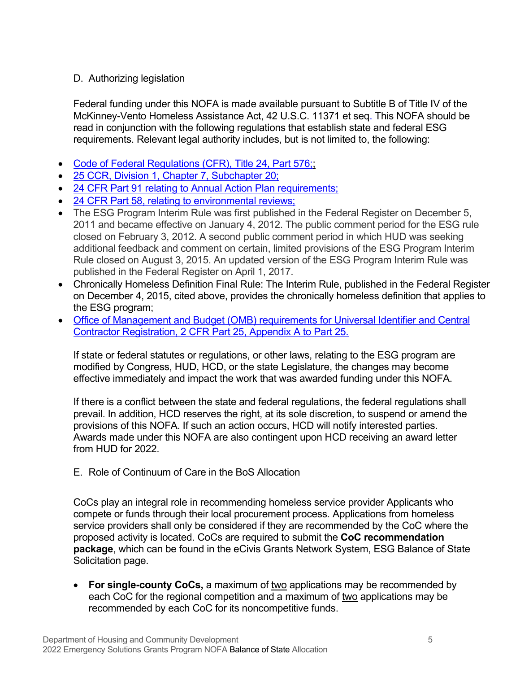# D. Authorizing legislation

Federal funding under this NOFA is made available pursuant to Subtitle B of Title IV of the McKinney-Vento Homeless Assistance Act, 42 U.S.C. 11371 et seq. This NOFA should be read in conjunction with the following regulations that establish state and federal ESG requirements. Relevant legal authority includes, but is not limited to, the following:

- Code of Federal Regulations (CFR), Title 24, Part 576;
- [25 CCR, Division 1, Chapter 7, Subchapter 20;](https://govt.westlaw.com/calregs/Browse/Home/California/CaliforniaCodeofRegulations?guid=I69448360D45511DEB97CF67CD0B99467&originationContext=documenttoc&transitionType=Default&contextData=(sc.Default))
- 24 CFR Part 91 relating to Annual Action Plan requirements:
- [24 CFR Part 58, relating to environmental reviews;](https://www.law.cornell.edu/cfr/text/24/part-58)
- The ESG Program Interim Rule was first published in the Federal Register on December 5, 2011 and became effective on January 4, 2012. The public comment period for the ESG rule closed on February 3, 2012. A second public comment period in which HUD was seeking additional feedback and comment on certain, limited provisions of the ESG Program Interim Rule closed on August 3, 2015. An updated version of the ESG Program Interim Rule was published in the Federal Register on April 1, 2017.
- Chronically Homeless Definition Final Rule: The Interim Rule, published in the Federal Register on December 4, 2015, cited above, provides the chronically homeless definition that applies to the ESG program;
- [Office of Management and Budget \(OMB\) requirements](https://www.law.cornell.edu/cfr/text/2/appendix-A_to_part_25) for Universal Identifier and Central [Contractor Registration, 2 CFR Part 25, Appendix A to Part 25.](https://www.law.cornell.edu/cfr/text/2/appendix-A_to_part_25)

If state or federal statutes or regulations, or other laws, relating to the ESG program are modified by Congress, HUD, HCD, or the state Legislature, the changes may become effective immediately and impact the work that was awarded funding under this NOFA.

If there is a conflict between the state and federal regulations, the federal regulations shall prevail. In addition, HCD reserves the right, at its sole discretion, to suspend or amend the provisions of this NOFA. If such an action occurs, HCD will notify interested parties. Awards made under this NOFA are also contingent upon HCD receiving an award letter from HUD for 2022.

<span id="page-8-0"></span>E. Role of Continuum of Care in the BoS Allocation

CoCs play an integral role in recommending homeless service provider Applicants who compete or funds through their local procurement process. Applications from homeless service providers shall only be considered if they are recommended by the CoC where the proposed activity is located. CoCs are required to submit the **CoC recommendation package**, which can be found in the eCivis Grants Network System, ESG Balance of State Solicitation page.

• **For single-county CoCs,** a maximum of two applications may be recommended by each CoC for the regional competition and a maximum of two applications may be recommended by each CoC for its noncompetitive funds.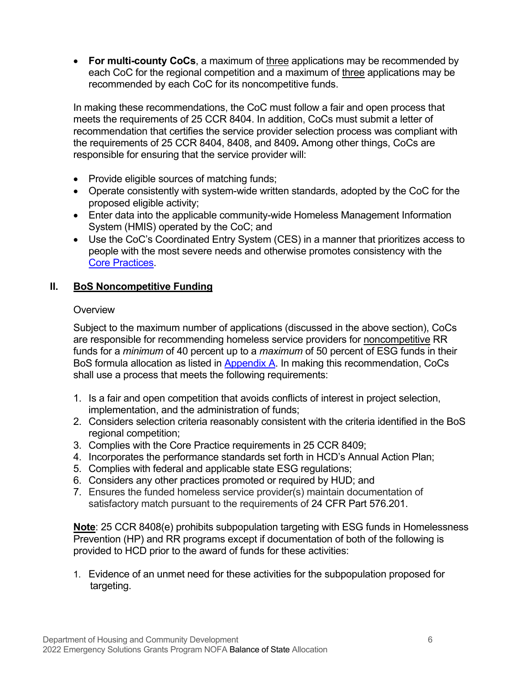• **For multi-county CoCs**, a maximum of three applications may be recommended by each CoC for the regional competition and a maximum of three applications may be recommended by each CoC for its noncompetitive funds.

In making these recommendations, the CoC must follow a fair and open process that meets the requirements of 25 CCR 8404. In addition, CoCs must submit a letter of recommendation that certifies the service provider selection process was compliant with the requirements of 25 CCR 8404, 8408, and 8409**.** Among other things, CoCs are responsible for ensuring that the service provider will:

- Provide eligible sources of matching funds;
- Operate consistently with system-wide written standards, adopted by the CoC for the proposed eligible activity;
- Enter data into the applicable community-wide Homeless Management Information System (HMIS) operated by the CoC; and
- Use the CoC's Coordinated Entry System (CES) in a manner that prioritizes access to people with the most severe needs and otherwise promotes consistency with the Core [Practices.](#page-25-1)

# <span id="page-9-1"></span><span id="page-9-0"></span>**II. BoS Noncompetitive Funding**

#### **Overview**

Subject to the maximum number of applications (discussed in the above section), CoCs are responsible for recommending homeless service providers for noncompetitive RR funds for a *minimum* of 40 percent up to a *maximum* of 50 percent of ESG funds in their BoS formula allocation as listed in [Appendix A.](#page-30-1) In making this recommendation, CoCs shall use a process that meets the following requirements:

- 1. Is a fair and open competition that avoids conflicts of interest in project selection, implementation, and the administration of funds;
- 2. Considers selection criteria reasonably consistent with the criteria identified in the BoS regional competition;
- 3. Complies with the Core Practice requirements in 25 CCR 8409;
- 4. Incorporates the performance standards set forth in HCD's Annual Action Plan;
- 5. Complies with federal and applicable state ESG regulations;
- 6. Considers any other practices promoted or required by HUD; and
- 7. Ensures the funded homeless service provider(s) maintain documentation of satisfactory match pursuant to the requirements of 24 CFR Part 576.201.

**Note**: 25 CCR 8408(e) prohibits subpopulation targeting with ESG funds in Homelessness Prevention (HP) and RR programs except if documentation of both of the following is provided to HCD prior to the award of funds for these activities:

1. Evidence of an unmet need for these activities for the subpopulation proposed for targeting.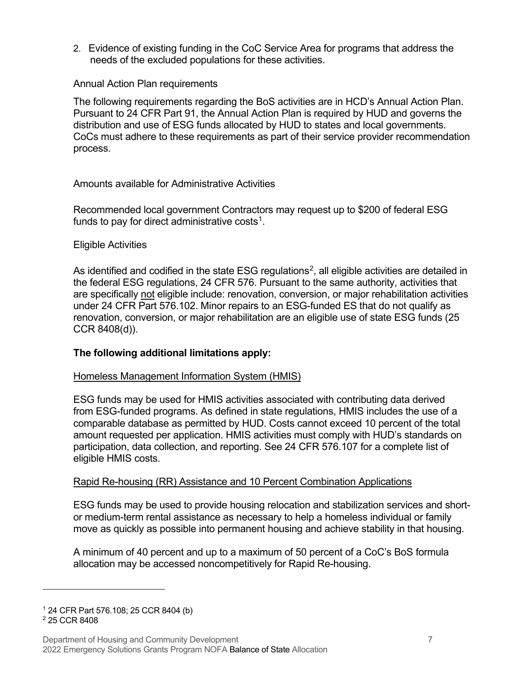2. Evidence of existing funding in the CoC Service Area for programs that address the needs of the excluded populations for these activities.

# <span id="page-10-0"></span>Annual Action Plan requirements

The following requirements regarding the BoS activities are in HCD's Annual Action Plan. Pursuant to 24 CFR Part 91, the Annual Action Plan is required by HUD and governs the distribution and use of ESG funds allocated by HUD to states and local governments. CoCs must adhere to these requirements as part of their service provider recommendation process.

# <span id="page-10-1"></span>Amounts available for Administrative Activities

Recommended local government Contractors may request up to \$200 of federal ESG funds to pay for direct administrative costs $1$ .

#### <span id="page-10-2"></span>Eligible Activities

As identified and codified in the state ESG regulations<sup>[2](#page-10-4)</sup>, all eligible activities are detailed in the federal ESG regulations, 24 CFR 576. Pursuant to the same authority, activities that are specifically not eligible include: renovation, conversion, or major rehabilitation activities under 24 CFR Part 576.102. Minor repairs to an ESG-funded ES that do not qualify as renovation, conversion, or major rehabilitation are an eligible use of state ESG funds (25 CCR 8408(d)).

# **The following additional limitations apply:**

#### Homeless Management Information System (HMIS)

ESG funds may be used for HMIS activities associated with contributing data derived from ESG-funded programs. As defined in state regulations, HMIS includes the use of a comparable database as permitted by HUD. Costs cannot exceed 10 percent of the total amount requested per application. HMIS activities must comply with HUD's standards on participation, data collection, and reporting. See 24 CFR 576.107 for a complete list of eligible HMIS costs.

#### Rapid Re-housing (RR) Assistance and 10 Percent Combination Applications

ESG funds may be used to provide housing relocation and stabilization services and shortor medium-term rental assistance as necessary to help a homeless individual or family move as quickly as possible into permanent housing and achieve stability in that housing.

A minimum of 40 percent and up to a maximum of 50 percent of a CoC's BoS formula allocation may be accessed noncompetitively for Rapid Re-housing.

<span id="page-10-4"></span><span id="page-10-3"></span><sup>1</sup> 24 CFR Part 576.108; 25 CCR 8404 (b) <sup>2</sup> 25 CCR 8408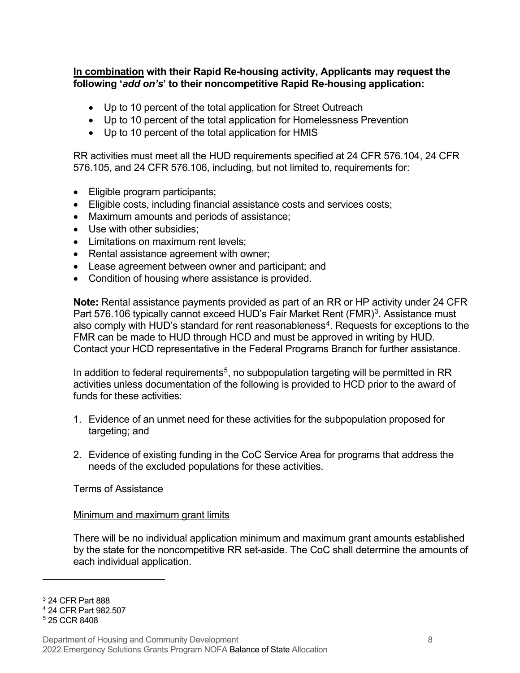#### **In combination with their Rapid Re-housing activity, Applicants may request the following '***add on's***' to their noncompetitive Rapid Re-housing application:**

- Up to 10 percent of the total application for Street Outreach
- Up to 10 percent of the total application for Homelessness Prevention
- Up to 10 percent of the total application for HMIS

RR activities must meet all the HUD requirements specified at 24 CFR 576.104, 24 CFR 576.105, and 24 CFR 576.106, including, but not limited to, requirements for:

- Eligible program participants;
- Eligible costs, including financial assistance costs and services costs;
- Maximum amounts and periods of assistance;
- Use with other subsidies;
- Limitations on maximum rent levels:
- Rental assistance agreement with owner;
- Lease agreement between owner and participant; and
- Condition of housing where assistance is provided.

**Note:** Rental assistance payments provided as part of an RR or HP activity under 24 CFR Part 576.106 typically cannot exceed HUD's Fair Market Rent (FMR)<sup>3</sup>. Assistance must also comply with HUD's standard for rent reasonableness<sup>4</sup>. Requests for exceptions to the FMR can be made to HUD through HCD and must be approved in writing by HUD. Contact your HCD representative in the Federal Programs Branch for further assistance.

In addition to federal requirements<sup>[5](#page-11-3)</sup>, no subpopulation targeting will be permitted in RR activities unless documentation of the following is provided to HCD prior to the award of funds for these activities:

- 1. Evidence of an unmet need for these activities for the subpopulation proposed for targeting; and
- 2. Evidence of existing funding in the CoC Service Area for programs that address the needs of the excluded populations for these activities.

<span id="page-11-0"></span>Terms of Assistance

#### Minimum and maximum grant limits

There will be no individual application minimum and maximum grant amounts established by the state for the noncompetitive RR set-aside. The CoC shall determine the amounts of each individual application.

<span id="page-11-1"></span><sup>3</sup> 24 CFR Part 888

<span id="page-11-2"></span><sup>4</sup> 24 CFR Part 982.507

<span id="page-11-3"></span><sup>5</sup> 25 CCR 8408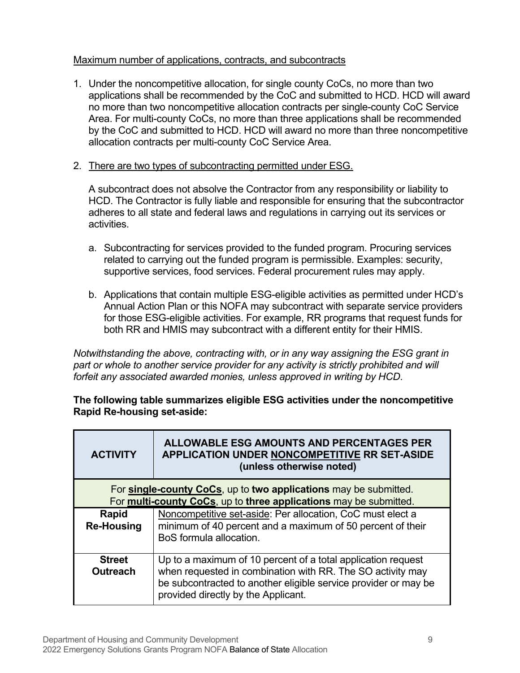#### Maximum number of applications, contracts, and subcontracts

- 1. Under the noncompetitive allocation, for single county CoCs, no more than two applications shall be recommended by the CoC and submitted to HCD. HCD will award no more than two noncompetitive allocation contracts per single-county CoC Service Area. For multi-county CoCs, no more than three applications shall be recommended by the CoC and submitted to HCD. HCD will award no more than three noncompetitive allocation contracts per multi-county CoC Service Area.
- 2. There are two types of subcontracting permitted under ESG.

A subcontract does not absolve the Contractor from any responsibility or liability to HCD. The Contractor is fully liable and responsible for ensuring that the subcontractor adheres to all state and federal laws and regulations in carrying out its services or activities.

- a. Subcontracting for services provided to the funded program. Procuring services related to carrying out the funded program is permissible. Examples: security, supportive services, food services. Federal procurement rules may apply.
- b. Applications that contain multiple ESG-eligible activities as permitted under HCD's Annual Action Plan or this NOFA may subcontract with separate service providers for those ESG-eligible activities. For example, RR programs that request funds for both RR and HMIS may subcontract with a different entity for their HMIS.

*Notwithstanding the above, contracting with, or in any way assigning the ESG grant in part or whole to another service provider for any activity is strictly prohibited and will forfeit any associated awarded monies, unless approved in writing by HCD*.

**The following table summarizes eligible ESG activities under the noncompetitive Rapid Re-housing set-aside:** 

| <b>ACTIVITY</b>                  | ALLOWABLE ESG AMOUNTS AND PERCENTAGES PER<br><b>APPLICATION UNDER NONCOMPETITIVE RR SET-ASIDE</b><br>(unless otherwise noted)                                                                                                        |  |  |  |  |  |  |  |
|----------------------------------|--------------------------------------------------------------------------------------------------------------------------------------------------------------------------------------------------------------------------------------|--|--|--|--|--|--|--|
|                                  | For single-county CoCs, up to two applications may be submitted.<br>For multi-county CoCs, up to three applications may be submitted.                                                                                                |  |  |  |  |  |  |  |
| Rapid<br><b>Re-Housing</b>       | Noncompetitive set-aside: Per allocation, CoC must elect a<br>minimum of 40 percent and a maximum of 50 percent of their<br>BoS formula allocation.                                                                                  |  |  |  |  |  |  |  |
| <b>Street</b><br><b>Outreach</b> | Up to a maximum of 10 percent of a total application request<br>when requested in combination with RR. The SO activity may<br>be subcontracted to another eligible service provider or may be<br>provided directly by the Applicant. |  |  |  |  |  |  |  |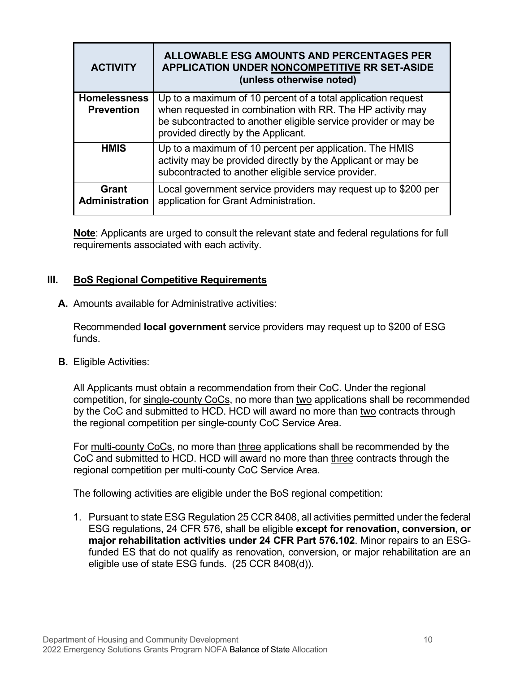| <b>ACTIVITY</b>                          | ALLOWABLE ESG AMOUNTS AND PERCENTAGES PER<br>APPLICATION UNDER NONCOMPETITIVE RR SET-ASIDE<br>(unless otherwise noted)                                                                                                               |
|------------------------------------------|--------------------------------------------------------------------------------------------------------------------------------------------------------------------------------------------------------------------------------------|
| <b>Homelessness</b><br><b>Prevention</b> | Up to a maximum of 10 percent of a total application request<br>when requested in combination with RR. The HP activity may<br>be subcontracted to another eligible service provider or may be<br>provided directly by the Applicant. |
| <b>HMIS</b>                              | Up to a maximum of 10 percent per application. The HMIS<br>activity may be provided directly by the Applicant or may be<br>subcontracted to another eligible service provider.                                                       |
| Grant<br><b>Administration</b>           | Local government service providers may request up to \$200 per<br>application for Grant Administration.                                                                                                                              |

**Note**: Applicants are urged to consult the relevant state and federal regulations for full requirements associated with each activity.

# <span id="page-13-0"></span>**III. BoS Regional Competitive Requirements**

<span id="page-13-1"></span>**A.** Amounts available for Administrative activities:

Recommended **local government** service providers may request up to \$200 of ESG funds.

<span id="page-13-2"></span>**B.** Eligible Activities:

All Applicants must obtain a recommendation from their CoC. Under the regional competition, for single-county CoCs, no more than two applications shall be recommended by the CoC and submitted to HCD. HCD will award no more than two contracts through the regional competition per single-county CoC Service Area.

For multi-county CoCs, no more than three applications shall be recommended by the CoC and submitted to HCD. HCD will award no more than three contracts through the regional competition per multi-county CoC Service Area.

The following activities are eligible under the BoS regional competition:

1. Pursuant to state ESG Regulation 25 CCR 8408, all activities permitted under the federal ESG regulations, 24 CFR 576, shall be eligible **except for renovation, conversion, or major rehabilitation activities under 24 CFR Part 576.102**. Minor repairs to an ESGfunded ES that do not qualify as renovation, conversion, or major rehabilitation are an eligible use of state ESG funds. (25 CCR 8408(d)).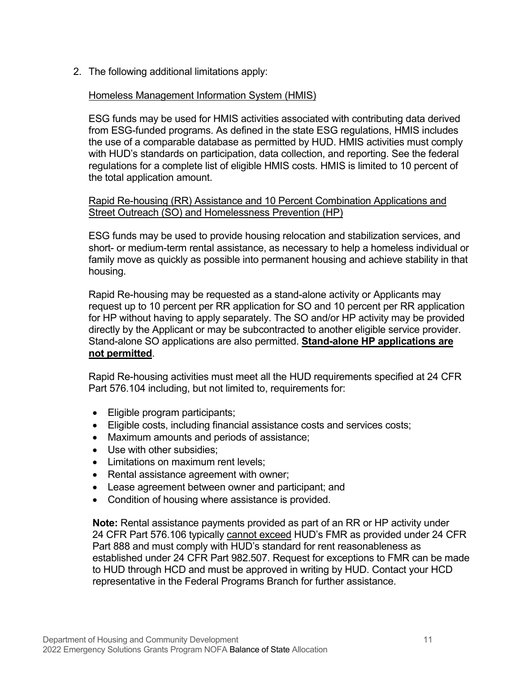2. The following additional limitations apply:

#### Homeless Management Information System (HMIS)

ESG funds may be used for HMIS activities associated with contributing data derived from ESG-funded programs. As defined in the state ESG regulations, HMIS includes the use of a comparable database as permitted by HUD. HMIS activities must comply with HUD's standards on participation, data collection, and reporting. See the federal regulations for a complete list of eligible HMIS costs. HMIS is limited to 10 percent of the total application amount.

#### Rapid Re-housing (RR) Assistance and 10 Percent Combination Applications and Street Outreach (SO) and Homelessness Prevention (HP)

ESG funds may be used to provide housing relocation and stabilization services, and short- or medium-term rental assistance, as necessary to help a homeless individual or family move as quickly as possible into permanent housing and achieve stability in that housing.

Rapid Re-housing may be requested as a stand-alone activity or Applicants may request up to 10 percent per RR application for SO and 10 percent per RR application for HP without having to apply separately. The SO and/or HP activity may be provided directly by the Applicant or may be subcontracted to another eligible service provider. Stand-alone SO applications are also permitted. **Stand-alone HP applications are not permitted**.

Rapid Re-housing activities must meet all the HUD requirements specified at 24 CFR Part 576.104 including, but not limited to, requirements for:

- Eligible program participants;
- Eligible costs, including financial assistance costs and services costs;
- Maximum amounts and periods of assistance;
- Use with other subsidies;
- Limitations on maximum rent levels;
- Rental assistance agreement with owner;
- Lease agreement between owner and participant; and
- Condition of housing where assistance is provided.

**Note:** Rental assistance payments provided as part of an RR or HP activity under 24 CFR Part 576.106 typically cannot exceed HUD's FMR as provided under 24 CFR Part 888 and must comply with HUD's standard for rent reasonableness as established under 24 CFR Part 982.507. Request for exceptions to FMR can be made to HUD through HCD and must be approved in writing by HUD. Contact your HCD representative in the Federal Programs Branch for further assistance.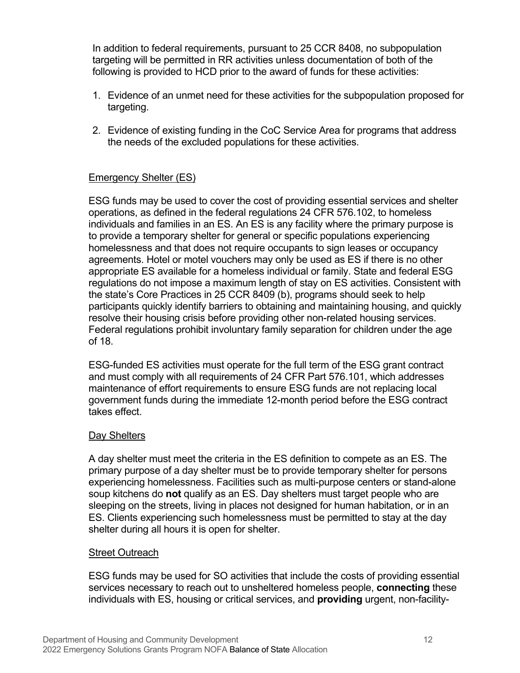In addition to federal requirements, pursuant to 25 CCR 8408, no subpopulation targeting will be permitted in RR activities unless documentation of both of the following is provided to HCD prior to the award of funds for these activities:

- 1. Evidence of an unmet need for these activities for the subpopulation proposed for targeting.
- 2. Evidence of existing funding in the CoC Service Area for programs that address the needs of the excluded populations for these activities.

# Emergency Shelter (ES)

ESG funds may be used to cover the cost of providing essential services and shelter operations, as defined in the federal regulations 24 CFR 576.102, to homeless individuals and families in an ES. An ES is any facility where the primary purpose is to provide a temporary shelter for general or specific populations experiencing homelessness and that does not require occupants to sign leases or occupancy agreements. Hotel or motel vouchers may only be used as ES if there is no other appropriate ES available for a homeless individual or family. State and federal ESG regulations do not impose a maximum length of stay on ES activities. Consistent with the state's Core Practices in 25 CCR 8409 (b), programs should seek to help participants quickly identify barriers to obtaining and maintaining housing, and quickly resolve their housing crisis before providing other non-related housing services. Federal regulations prohibit involuntary family separation for children under the age of 18.

ESG-funded ES activities must operate for the full term of the ESG grant contract and must comply with all requirements of 24 CFR Part 576.101, which addresses maintenance of effort requirements to ensure ESG funds are not replacing local government funds during the immediate 12-month period before the ESG contract takes effect.

#### Day Shelters

A day shelter must meet the criteria in the ES definition to compete as an ES. The primary purpose of a day shelter must be to provide temporary shelter for persons experiencing homelessness. Facilities such as multi-purpose centers or stand-alone soup kitchens do **not** qualify as an ES. Day shelters must target people who are sleeping on the streets, living in places not designed for human habitation, or in an ES. Clients experiencing such homelessness must be permitted to stay at the day shelter during all hours it is open for shelter.

#### Street Outreach

ESG funds may be used for SO activities that include the costs of providing essential services necessary to reach out to unsheltered homeless people, **connecting** these individuals with ES, housing or critical services, and **providing** urgent, non-facility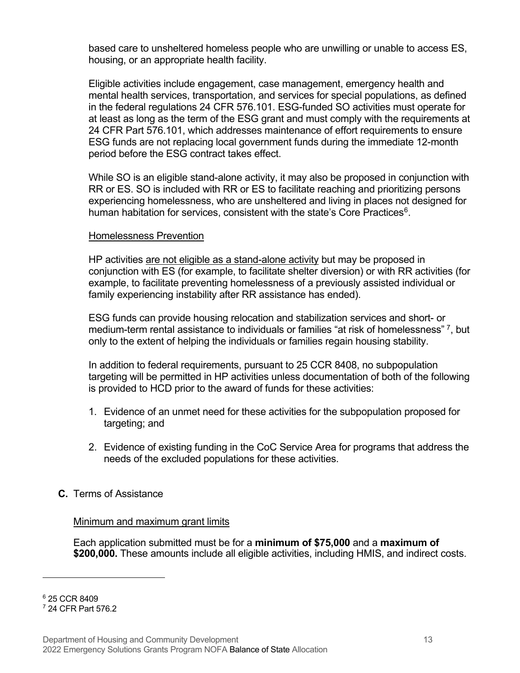based care to unsheltered homeless people who are unwilling or unable to access ES, housing, or an appropriate health facility.

Eligible activities include engagement, case management, emergency health and mental health services, transportation, and services for special populations, as defined in the federal regulations 24 CFR 576.101. ESG-funded SO activities must operate for at least as long as the term of the ESG grant and must comply with the requirements at 24 CFR Part 576.101, which addresses maintenance of effort requirements to ensure ESG funds are not replacing local government funds during the immediate 12-month period before the ESG contract takes effect.

While SO is an eligible stand-alone activity, it may also be proposed in conjunction with RR or ES. SO is included with RR or ES to facilitate reaching and prioritizing persons experiencing homelessness, who are unsheltered and living in places not designed for human habitation for services, consistent with the state's Core Practices<sup>6</sup>.

#### Homelessness Prevention

HP activities are not eligible as a stand-alone activity but may be proposed in conjunction with ES (for example, to facilitate shelter diversion) or with RR activities (for example, to facilitate preventing homelessness of a previously assisted individual or family experiencing instability after RR assistance has ended).

ESG funds can provide housing relocation and stabilization services and short- or medium-term rental assistance to individuals or families "at risk of homelessness" [7,](#page-16-2) but only to the extent of helping the individuals or families regain housing stability.

In addition to federal requirements, pursuant to 25 CCR 8408, no subpopulation targeting will be permitted in HP activities unless documentation of both of the following is provided to HCD prior to the award of funds for these activities:

- 1. Evidence of an unmet need for these activities for the subpopulation proposed for targeting; and
- 2. Evidence of existing funding in the CoC Service Area for programs that address the needs of the excluded populations for these activities.
- <span id="page-16-0"></span>**C.** Terms of Assistance

#### Minimum and maximum grant limits

Each application submitted must be for a **minimum of \$75,000** and a **maximum of \$200,000.** These amounts include all eligible activities, including HMIS, and indirect costs.

<span id="page-16-2"></span><span id="page-16-1"></span><sup>6</sup> 25 CCR 8409 <sup>7</sup> 24 CFR Part 576.2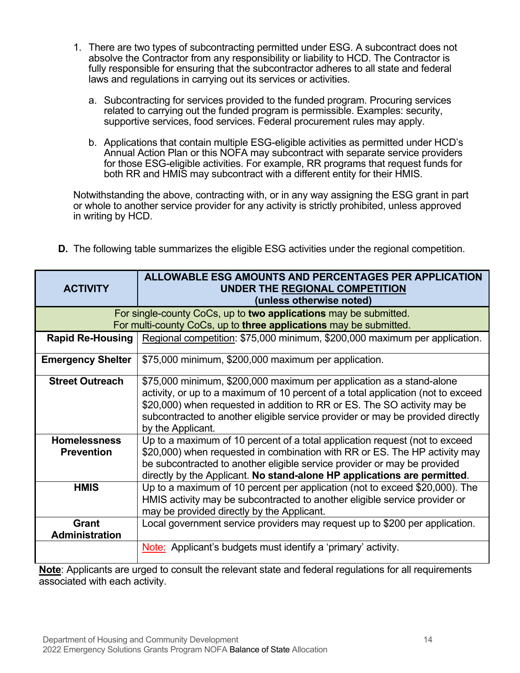- 1. There are two types of subcontracting permitted under ESG. A subcontract does not absolve the Contractor from any responsibility or liability to HCD. The Contractor is fully responsible for ensuring that the subcontractor adheres to all state and federal laws and regulations in carrying out its services or activities.
	- a. Subcontracting for services provided to the funded program. Procuring services related to carrying out the funded program is permissible. Examples: security, supportive services, food services. Federal procurement rules may apply.
	- b. Applications that contain multiple ESG-eligible activities as permitted under HCD's Annual Action Plan or this NOFA may subcontract with separate service providers for those ESG-eligible activities. For example, RR programs that request funds for both RR and HMIS may subcontract with a different entity for their HMIS.

Notwithstanding the above, contracting with, or in any way assigning the ESG grant in part or whole to another service provider for any activity is strictly prohibited, unless approved in writing by HCD.

| <b>ACTIVITY</b>                          | ALLOWABLE ESG AMOUNTS AND PERCENTAGES PER APPLICATION<br>UNDER THE REGIONAL COMPETITION<br>(unless otherwise noted)                                                                                                                                                                                                                         |  |  |  |  |  |
|------------------------------------------|---------------------------------------------------------------------------------------------------------------------------------------------------------------------------------------------------------------------------------------------------------------------------------------------------------------------------------------------|--|--|--|--|--|
|                                          | For single-county CoCs, up to two applications may be submitted.                                                                                                                                                                                                                                                                            |  |  |  |  |  |
|                                          | For multi-county CoCs, up to three applications may be submitted.                                                                                                                                                                                                                                                                           |  |  |  |  |  |
| Rapid Re-Housing                         | Regional competition: \$75,000 minimum, \$200,000 maximum per application.                                                                                                                                                                                                                                                                  |  |  |  |  |  |
| <b>Emergency Shelter</b>                 | \$75,000 minimum, \$200,000 maximum per application.                                                                                                                                                                                                                                                                                        |  |  |  |  |  |
| <b>Street Outreach</b>                   | \$75,000 minimum, \$200,000 maximum per application as a stand-alone<br>activity, or up to a maximum of 10 percent of a total application (not to exceed<br>\$20,000) when requested in addition to RR or ES. The SO activity may be<br>subcontracted to another eligible service provider or may be provided directly<br>by the Applicant. |  |  |  |  |  |
| <b>Homelessness</b><br><b>Prevention</b> | Up to a maximum of 10 percent of a total application request (not to exceed<br>\$20,000) when requested in combination with RR or ES. The HP activity may<br>be subcontracted to another eligible service provider or may be provided<br>directly by the Applicant. No stand-alone HP applications are permitted.                           |  |  |  |  |  |
| <b>HMIS</b>                              | Up to a maximum of 10 percent per application (not to exceed \$20,000). The<br>HMIS activity may be subcontracted to another eligible service provider or<br>may be provided directly by the Applicant.                                                                                                                                     |  |  |  |  |  |
| <b>Grant</b><br><b>Administration</b>    | Local government service providers may request up to \$200 per application.                                                                                                                                                                                                                                                                 |  |  |  |  |  |
|                                          | Note: Applicant's budgets must identify a 'primary' activity.                                                                                                                                                                                                                                                                               |  |  |  |  |  |

<span id="page-17-0"></span>**D.** The following table summarizes the eligible ESG activities under the regional competition.

**Note**: Applicants are urged to consult the relevant state and federal regulations for all requirements associated with each activity.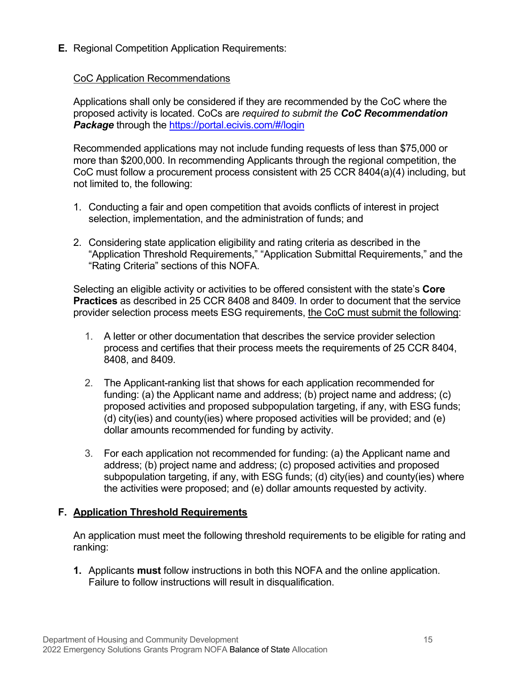<span id="page-18-0"></span>**E.** Regional Competition Application Requirements:

#### CoC Application Recommendations

Applications shall only be considered if they are recommended by the CoC where the proposed activity is located. CoCs are *required to submit the CoC Recommendation Package* through the<https://portal.ecivis.com/#/login>

Recommended applications may not include funding requests of less than \$75,000 or more than \$200,000. In recommending Applicants through the regional competition, the CoC must follow a procurement process consistent with 25 CCR 8404(a)(4) including, but not limited to, the following:

- 1. Conducting a fair and open competition that avoids conflicts of interest in project selection, implementation, and the administration of funds; and
- 2. Considering state application eligibility and rating criteria as described in the "Application Threshold Requirements," "Application Submittal Requirements," and the "Rating Criteria" sections of this NOFA.

Selecting an eligible activity or activities to be offered consistent with the state's **Core Practices** as described in 25 CCR 8408 and 8409. In order to document that the service provider selection process meets ESG requirements, the CoC must submit the following:

- 1. A letter or other documentation that describes the service provider selection process and certifies that their process meets the requirements of 25 CCR 8404, 8408, and 8409.
- 2. The Applicant-ranking list that shows for each application recommended for funding: (a) the Applicant name and address; (b) project name and address; (c) proposed activities and proposed subpopulation targeting, if any, with ESG funds; (d) city(ies) and county(ies) where proposed activities will be provided; and (e) dollar amounts recommended for funding by activity.
- 3. For each application not recommended for funding: (a) the Applicant name and address; (b) project name and address; (c) proposed activities and proposed subpopulation targeting, if any, with ESG funds; (d) city(ies) and county(ies) where the activities were proposed; and (e) dollar amounts requested by activity.

#### **F. Application Threshold Requirements**

An application must meet the following threshold requirements to be eligible for rating and ranking:

**1.** Applicants **must** follow instructions in both this NOFA and the online application. Failure to follow instructions will result in disqualification.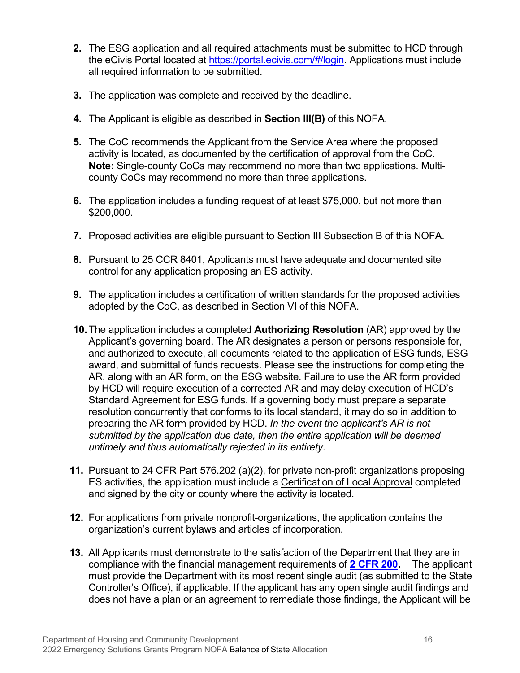- **2.** The ESG application and all required attachments must be submitted to HCD through the eCivis Portal located at [https://portal.ecivis.com/#/login.](https://portal.ecivis.com/#/login) Applications must include all required information to be submitted.
- **3.** The application was complete and received by the deadline.
- **4.** The Applicant is eligible as described in **Section III(B)** of this NOFA.
- **5.** The CoC recommends the Applicant from the Service Area where the proposed activity is located, as documented by the certification of approval from the CoC. **Note:** Single-county CoCs may recommend no more than two applications. Multicounty CoCs may recommend no more than three applications.
- **6.** The application includes a funding request of at least \$75,000, but not more than \$200,000.
- **7.** Proposed activities are eligible pursuant to Section III Subsection B of this NOFA.
- **8.** Pursuant to 25 CCR 8401, Applicants must have adequate and documented site control for any application proposing an ES activity.
- **9.** The application includes a certification of written standards for the proposed activities adopted by the CoC, as described in Section VI of this NOFA.
- **10.**The application includes a completed **Authorizing Resolution** (AR) approved by the Applicant's governing board. The AR designates a person or persons responsible for, and authorized to execute, all documents related to the application of ESG funds, ESG award, and submittal of funds requests. Please see the instructions for completing the AR, along with an AR form, on the ESG website. Failure to use the AR form provided by HCD will require execution of a corrected AR and may delay execution of HCD's Standard Agreement for ESG funds. If a governing body must prepare a separate resolution concurrently that conforms to its local standard, it may do so in addition to preparing the AR form provided by HCD. *In the event the applicant's AR is not submitted by the application due date, then the entire application will be deemed untimely and thus automatically rejected in its entirety*.
- **11.** Pursuant to 24 CFR Part 576.202 (a)(2), for private non-profit organizations proposing ES activities, the application must include a Certification of Local Approval completed and signed by the city or county where the activity is located.
- **12.** For applications from private nonprofit-organizations, the application contains the organization's current bylaws and articles of incorporation.
- **13.** All Applicants must demonstrate to the satisfaction of the Department that they are in compliance with the financial management requirements of **[2 CFR 200.](https://www.law.cornell.edu/cfr/text/2/part-200)** The applicant must provide the Department with its most recent single audit (as submitted to the State Controller's Office), if applicable. If the applicant has any open single audit findings and does not have a plan or an agreement to remediate those findings, the Applicant will be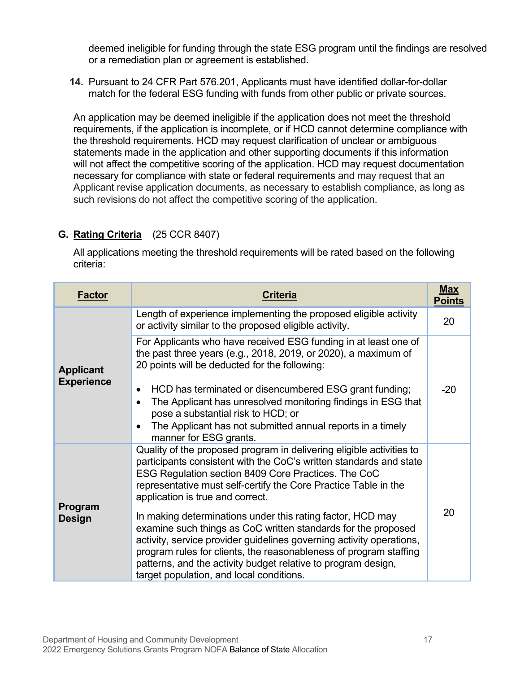deemed ineligible for funding through the state ESG program until the findings are resolved or a remediation plan or agreement is established.

**14.** Pursuant to 24 CFR Part 576.201, Applicants must have identified dollar-for-dollar match for the federal ESG funding with funds from other public or private sources.

An application may be deemed ineligible if the application does not meet the threshold requirements, if the application is incomplete, or if HCD cannot determine compliance with the threshold requirements. HCD may request clarification of unclear or ambiguous statements made in the application and other supporting documents if this information will not affect the competitive scoring of the application. HCD may request documentation necessary for compliance with state or federal requirements and may request that an Applicant revise application documents, as necessary to establish compliance, as long as such revisions do not affect the competitive scoring of the application.

# <span id="page-20-0"></span>**G. Rating Criteria** (25 CCR 8407)

All applications meeting the threshold requirements will be rated based on the following criteria:

| <b>Factor</b>     | <b>Criteria</b><br><b>Points</b>                                                                                                                                                                                                                                                                                                                                                      |     |  |  |  |  |
|-------------------|---------------------------------------------------------------------------------------------------------------------------------------------------------------------------------------------------------------------------------------------------------------------------------------------------------------------------------------------------------------------------------------|-----|--|--|--|--|
|                   | Length of experience implementing the proposed eligible activity<br>or activity similar to the proposed eligible activity.                                                                                                                                                                                                                                                            | 20  |  |  |  |  |
| <b>Applicant</b>  | For Applicants who have received ESG funding in at least one of<br>the past three years (e.g., 2018, 2019, or 2020), a maximum of<br>20 points will be deducted for the following:                                                                                                                                                                                                    |     |  |  |  |  |
| <b>Experience</b> | HCD has terminated or disencumbered ESG grant funding;<br>$\bullet$<br>The Applicant has unresolved monitoring findings in ESG that<br>$\bullet$<br>pose a substantial risk to HCD; or<br>The Applicant has not submitted annual reports in a timely<br>$\bullet$<br>manner for ESG grants.                                                                                           | -20 |  |  |  |  |
| Program           | Quality of the proposed program in delivering eligible activities to<br>participants consistent with the CoC's written standards and state<br>ESG Regulation section 8409 Core Practices. The CoC<br>representative must self-certify the Core Practice Table in the<br>application is true and correct.                                                                              |     |  |  |  |  |
| <b>Design</b>     | In making determinations under this rating factor, HCD may<br>examine such things as CoC written standards for the proposed<br>activity, service provider guidelines governing activity operations,<br>program rules for clients, the reasonableness of program staffing<br>patterns, and the activity budget relative to program design,<br>target population, and local conditions. | 20  |  |  |  |  |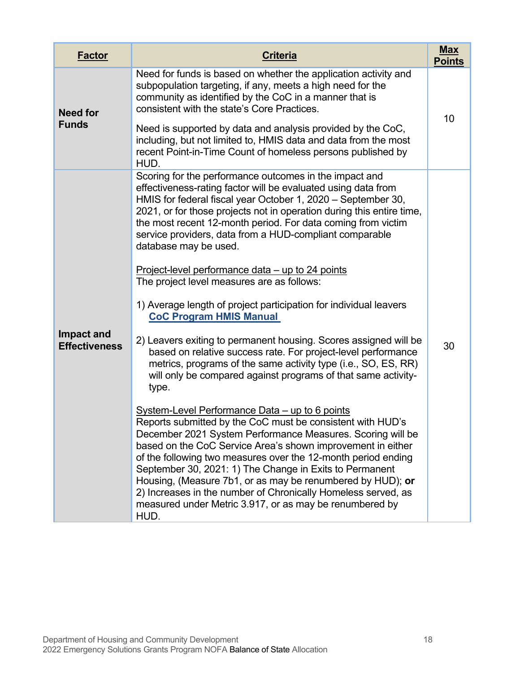| <b>Factor</b>                             | <b>Criteria</b>                                                                                                                                                                                                                                                                                                                                                                                                                                                                                                                                                                                                                                                                                                                                                                                                                                                                                                                                                                                                                                                                                                                                                                                                                                                                                                                                                                                                                                                                           | <b>Max</b><br><b>Points</b> |
|-------------------------------------------|-------------------------------------------------------------------------------------------------------------------------------------------------------------------------------------------------------------------------------------------------------------------------------------------------------------------------------------------------------------------------------------------------------------------------------------------------------------------------------------------------------------------------------------------------------------------------------------------------------------------------------------------------------------------------------------------------------------------------------------------------------------------------------------------------------------------------------------------------------------------------------------------------------------------------------------------------------------------------------------------------------------------------------------------------------------------------------------------------------------------------------------------------------------------------------------------------------------------------------------------------------------------------------------------------------------------------------------------------------------------------------------------------------------------------------------------------------------------------------------------|-----------------------------|
| <b>Need for</b><br><b>Funds</b>           | Need for funds is based on whether the application activity and<br>subpopulation targeting, if any, meets a high need for the<br>community as identified by the CoC in a manner that is<br>consistent with the state's Core Practices.<br>Need is supported by data and analysis provided by the CoC,<br>including, but not limited to, HMIS data and data from the most<br>recent Point-in-Time Count of homeless persons published by<br>HUD.                                                                                                                                                                                                                                                                                                                                                                                                                                                                                                                                                                                                                                                                                                                                                                                                                                                                                                                                                                                                                                           | 10                          |
| <b>Impact and</b><br><b>Effectiveness</b> | Scoring for the performance outcomes in the impact and<br>effectiveness-rating factor will be evaluated using data from<br>HMIS for federal fiscal year October 1, 2020 - September 30,<br>2021, or for those projects not in operation during this entire time,<br>the most recent 12-month period. For data coming from victim<br>service providers, data from a HUD-compliant comparable<br>database may be used.<br>Project-level performance data – up to 24 points<br>The project level measures are as follows:<br>1) Average length of project participation for individual leavers<br><b>CoC Program HMIS Manual</b><br>2) Leavers exiting to permanent housing. Scores assigned will be<br>based on relative success rate. For project-level performance<br>metrics, programs of the same activity type (i.e., SO, ES, RR)<br>will only be compared against programs of that same activity-<br>type.<br>System-Level Performance Data – up to 6 points<br>Reports submitted by the CoC must be consistent with HUD's<br>December 2021 System Performance Measures. Scoring will be<br>based on the CoC Service Area's shown improvement in either<br>of the following two measures over the 12-month period ending<br>September 30, 2021: 1) The Change in Exits to Permanent<br>Housing, (Measure 7b1, or as may be renumbered by HUD); or<br>2) Increases in the number of Chronically Homeless served, as<br>measured under Metric 3.917, or as may be renumbered by<br>HUD. | 30                          |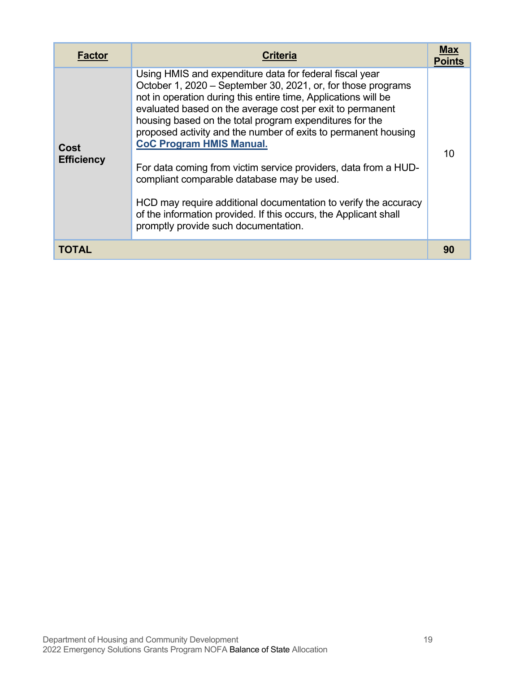| <b>Factor</b>             | Criteria                                                                                                                                                                                                                                                                                                                                                                                                                                                                                                                                                                                                                                                                                                               | Max<br><b>Points</b> |
|---------------------------|------------------------------------------------------------------------------------------------------------------------------------------------------------------------------------------------------------------------------------------------------------------------------------------------------------------------------------------------------------------------------------------------------------------------------------------------------------------------------------------------------------------------------------------------------------------------------------------------------------------------------------------------------------------------------------------------------------------------|----------------------|
| Cost<br><b>Efficiency</b> | Using HMIS and expenditure data for federal fiscal year<br>October 1, 2020 – September 30, 2021, or, for those programs<br>not in operation during this entire time, Applications will be<br>evaluated based on the average cost per exit to permanent<br>housing based on the total program expenditures for the<br>proposed activity and the number of exits to permanent housing<br><b>CoC Program HMIS Manual.</b><br>For data coming from victim service providers, data from a HUD-<br>compliant comparable database may be used.<br>HCD may require additional documentation to verify the accuracy<br>of the information provided. If this occurs, the Applicant shall<br>promptly provide such documentation. |                      |
| <b>TOTAL</b>              |                                                                                                                                                                                                                                                                                                                                                                                                                                                                                                                                                                                                                                                                                                                        | 90                   |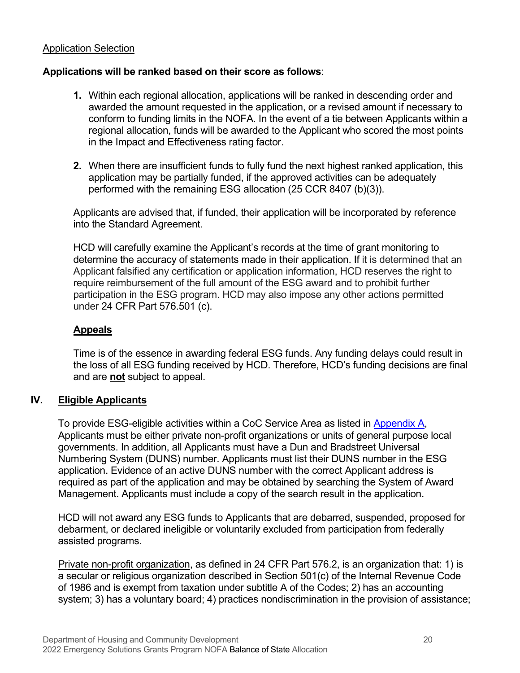#### Application Selection

#### **Applications will be ranked based on their score as follows**:

- **1.** Within each regional allocation, applications will be ranked in descending order and awarded the amount requested in the application, or a revised amount if necessary to conform to funding limits in the NOFA. In the event of a tie between Applicants within a regional allocation, funds will be awarded to the Applicant who scored the most points in the Impact and Effectiveness rating factor.
- **2.** When there are insufficient funds to fully fund the next highest ranked application, this application may be partially funded, if the approved activities can be adequately performed with the remaining ESG allocation (25 CCR 8407 (b)(3)).

Applicants are advised that, if funded, their application will be incorporated by reference into the Standard Agreement.

HCD will carefully examine the Applicant's records at the time of grant monitoring to determine the accuracy of statements made in their application. If it is determined that an Applicant falsified any certification or application information, HCD reserves the right to require reimbursement of the full amount of the ESG award and to prohibit further participation in the ESG program. HCD may also impose any other actions permitted under 24 CFR Part 576.501 (c).

#### **Appeals**

Time is of the essence in awarding federal ESG funds. Any funding delays could result in the loss of all ESG funding received by HCD. Therefore, HCD's funding decisions are final and are **not** subject to appeal.

#### <span id="page-23-0"></span>**IV. Eligible Applicants**

To provide ESG-eligible activities within a CoC Service Area as listed in [Appendix A,](#page-31-0) Applicants must be either private non-profit organizations or units of general purpose local governments. In addition, all Applicants must have a Dun and Bradstreet Universal Numbering System (DUNS) number. Applicants must list their DUNS number in the ESG application. Evidence of an active DUNS number with the correct Applicant address is required as part of the application and may be obtained by searching the System of Award Management. Applicants must include a copy of the search result in the application.

HCD will not award any ESG funds to Applicants that are debarred, suspended, proposed for debarment, or declared ineligible or voluntarily excluded from participation from federally assisted programs.

Private non-profit organization, as defined in 24 CFR Part 576.2, is an organization that: 1) is a secular or religious organization described in Section 501(c) of the Internal Revenue Code of 1986 and is exempt from taxation under subtitle A of the Codes; 2) has an accounting system; 3) has a voluntary board; 4) practices nondiscrimination in the provision of assistance;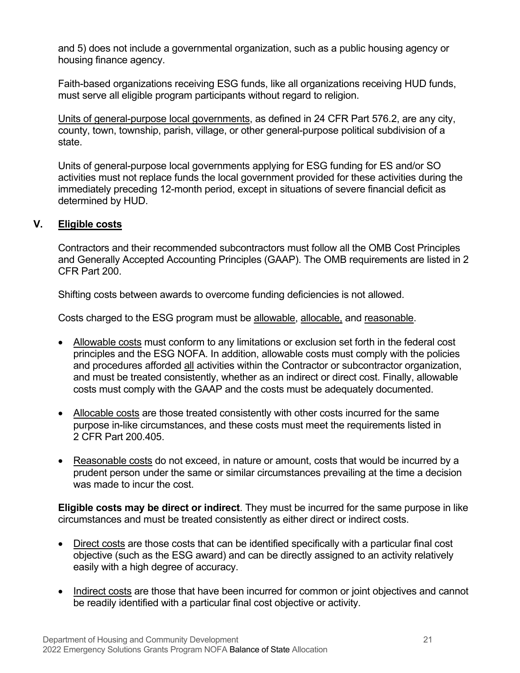and 5) does not include a governmental organization, such as a public housing agency or housing finance agency.

Faith-based organizations receiving ESG funds, like all organizations receiving HUD funds, must serve all eligible program participants without regard to religion.

Units of general-purpose local governments, as defined in 24 CFR Part 576.2, are any city, county, town, township, parish, village, or other general-purpose political subdivision of a state.

Units of general-purpose local governments applying for ESG funding for ES and/or SO activities must not replace funds the local government provided for these activities during the immediately preceding 12-month period, except in situations of severe financial deficit as determined by HUD.

#### <span id="page-24-0"></span>**V. Eligible costs**

Contractors and their recommended subcontractors must follow all the OMB Cost Principles and Generally Accepted Accounting Principles (GAAP). The OMB requirements are listed in 2 CFR Part 200.

Shifting costs between awards to overcome funding deficiencies is not allowed.

Costs charged to the ESG program must be allowable, allocable, and reasonable.

- Allowable costs must conform to any limitations or exclusion set forth in the federal cost principles and the ESG NOFA. In addition, allowable costs must comply with the policies and procedures afforded all activities within the Contractor or subcontractor organization, and must be treated consistently, whether as an indirect or direct cost. Finally, allowable costs must comply with the GAAP and the costs must be adequately documented.
- Allocable costs are those treated consistently with other costs incurred for the same purpose in-like circumstances, and these costs must meet the requirements listed in 2 CFR Part 200.405.
- Reasonable costs do not exceed, in nature or amount, costs that would be incurred by a prudent person under the same or similar circumstances prevailing at the time a decision was made to incur the cost.

**Eligible costs may be direct or indirect**. They must be incurred for the same purpose in like circumstances and must be treated consistently as either direct or indirect costs.

- Direct costs are those costs that can be identified specifically with a particular final cost objective (such as the ESG award) and can be directly assigned to an activity relatively easily with a high degree of accuracy.
- Indirect costs are those that have been incurred for common or joint objectives and cannot be readily identified with a particular final cost objective or activity.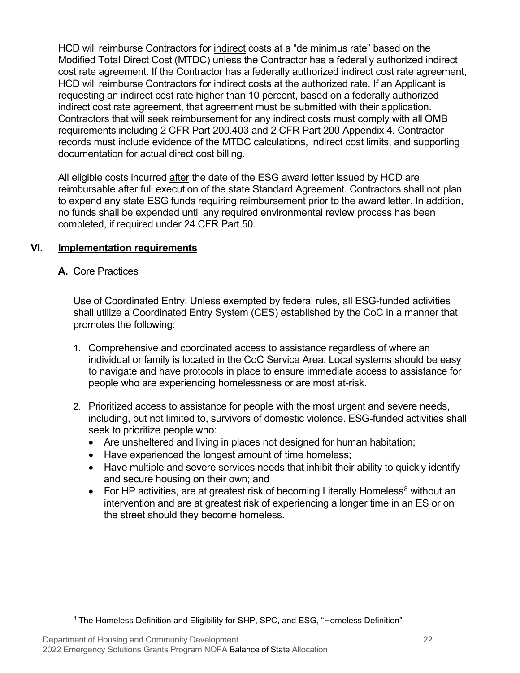HCD will reimburse Contractors for indirect costs at a "de minimus rate" based on the Modified Total Direct Cost (MTDC) unless the Contractor has a federally authorized indirect cost rate agreement. If the Contractor has a federally authorized indirect cost rate agreement, HCD will reimburse Contractors for indirect costs at the authorized rate. If an Applicant is requesting an indirect cost rate higher than 10 percent, based on a federally authorized indirect cost rate agreement, that agreement must be submitted with their application. Contractors that will seek reimbursement for any indirect costs must comply with all OMB requirements including 2 CFR Part 200.403 and 2 CFR Part 200 Appendix 4. Contractor records must include evidence of the MTDC calculations, indirect cost limits, and supporting documentation for actual direct cost billing.

All eligible costs incurred after the date of the ESG award letter issued by HCD are reimbursable after full execution of the state Standard Agreement. Contractors shall not plan to expend any state ESG funds requiring reimbursement prior to the award letter. In addition, no funds shall be expended until any required environmental review process has been completed, if required under 24 CFR Part 50.

#### <span id="page-25-0"></span>**VI. Implementation requirements**

#### <span id="page-25-1"></span>**A.** Core Practices

Use of Coordinated Entry: Unless exempted by federal rules, all ESG-funded activities shall utilize a Coordinated Entry System (CES) established by the CoC in a manner that promotes the following:

- 1. Comprehensive and coordinated access to assistance regardless of where an individual or family is located in the CoC Service Area. Local systems should be easy to navigate and have protocols in place to ensure immediate access to assistance for people who are experiencing homelessness or are most at-risk.
- 2. Prioritized access to assistance for people with the most urgent and severe needs, including, but not limited to, survivors of domestic violence. ESG-funded activities shall seek to prioritize people who:
	- Are unsheltered and living in places not designed for human habitation;
	- Have experienced the longest amount of time homeless;
	- Have multiple and severe services needs that inhibit their ability to quickly identify and secure housing on their own; and
	- For HP activities, are at greatest risk of becoming Literally Homeless<sup>[8](#page-25-2)</sup> without an intervention and are at greatest risk of experiencing a longer time in an ES or on the street should they become homeless.

<span id="page-25-2"></span><sup>&</sup>lt;sup>8</sup> The Homeless Definition and Eligibility for SHP, SPC, and ESG, "Homeless Definition"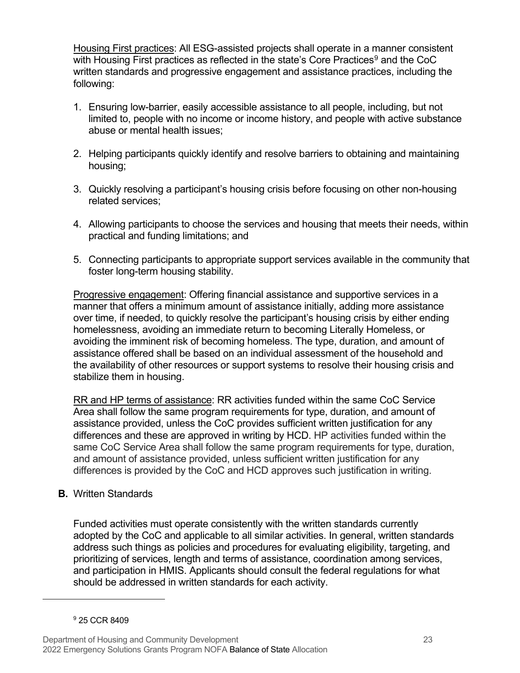Housing First practices: All ESG-assisted projects shall operate in a manner consistent with Housing First practices as reflected in the state's Core Practices<sup>[9](#page-26-1)</sup> and the CoC written standards and progressive engagement and assistance practices, including the following:

- 1. Ensuring low-barrier, easily accessible assistance to all people, including, but not limited to, people with no income or income history, and people with active substance abuse or mental health issues;
- 2. Helping participants quickly identify and resolve barriers to obtaining and maintaining housing;
- 3. Quickly resolving a participant's housing crisis before focusing on other non-housing related services;
- 4. Allowing participants to choose the services and housing that meets their needs, within practical and funding limitations; and
- 5. Connecting participants to appropriate support services available in the community that foster long-term housing stability.

Progressive engagement: Offering financial assistance and supportive services in a manner that offers a minimum amount of assistance initially, adding more assistance over time, if needed, to quickly resolve the participant's housing crisis by either ending homelessness, avoiding an immediate return to becoming Literally Homeless, or avoiding the imminent risk of becoming homeless. The type, duration, and amount of assistance offered shall be based on an individual assessment of the household and the availability of other resources or support systems to resolve their housing crisis and stabilize them in housing.

RR and HP terms of assistance: RR activities funded within the same CoC Service Area shall follow the same program requirements for type, duration, and amount of assistance provided, unless the CoC provides sufficient written justification for any differences and these are approved in writing by HCD. HP activities funded within the same CoC Service Area shall follow the same program requirements for type, duration, and amount of assistance provided, unless sufficient written justification for any differences is provided by the CoC and HCD approves such justification in writing.

# <span id="page-26-0"></span>**B.** Written Standards

Funded activities must operate consistently with the written standards currently adopted by the CoC and applicable to all similar activities. In general, written standards address such things as policies and procedures for evaluating eligibility, targeting, and prioritizing of services, length and terms of assistance, coordination among services, and participation in HMIS. Applicants should consult the federal regulations for what should be addressed in written standards for each activity.

<span id="page-26-1"></span><sup>9</sup> 25 CCR 8409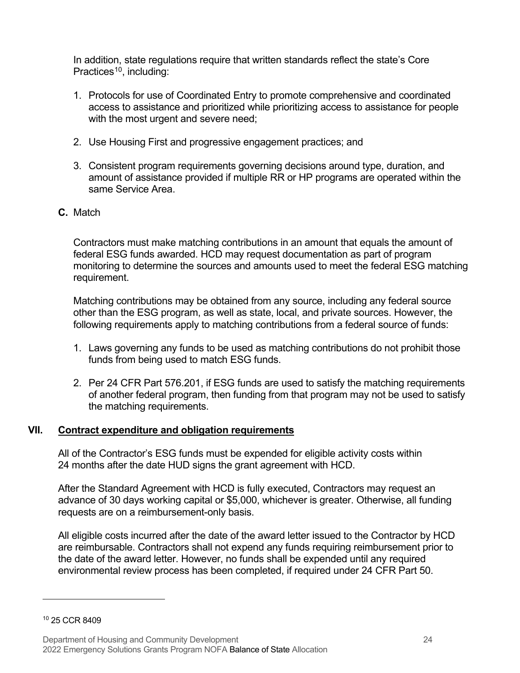In addition, state regulations require that written standards reflect the state's Core Practices<sup>10</sup>, including:

- 1. Protocols for use of Coordinated Entry to promote comprehensive and coordinated access to assistance and prioritized while prioritizing access to assistance for people with the most urgent and severe need;
- 2. Use Housing First and progressive engagement practices; and
- 3. Consistent program requirements governing decisions around type, duration, and amount of assistance provided if multiple RR or HP programs are operated within the same Service Area.
- <span id="page-27-0"></span>**C.** Match

Contractors must make matching contributions in an amount that equals the amount of federal ESG funds awarded. HCD may request documentation as part of program monitoring to determine the sources and amounts used to meet the federal ESG matching requirement.

Matching contributions may be obtained from any source, including any federal source other than the ESG program, as well as state, local, and private sources. However, the following requirements apply to matching contributions from a federal source of funds:

- 1. Laws governing any funds to be used as matching contributions do not prohibit those funds from being used to match ESG funds.
- 2. Per 24 CFR Part 576.201, if ESG funds are used to satisfy the matching requirements of another federal program, then funding from that program may not be used to satisfy the matching requirements.

# <span id="page-27-1"></span>**VII. Contract expenditure and obligation requirements**

All of the Contractor's ESG funds must be expended for eligible activity costs within 24 months after the date HUD signs the grant agreement with HCD.

After the Standard Agreement with HCD is fully executed, Contractors may request an advance of 30 days working capital or \$5,000, whichever is greater. Otherwise, all funding requests are on a reimbursement-only basis.

All eligible costs incurred after the date of the award letter issued to the Contractor by HCD are reimbursable. Contractors shall not expend any funds requiring reimbursement prior to the date of the award letter. However, no funds shall be expended until any required environmental review process has been completed, if required under 24 CFR Part 50.

<span id="page-27-2"></span><sup>10</sup> 25 CCR 8409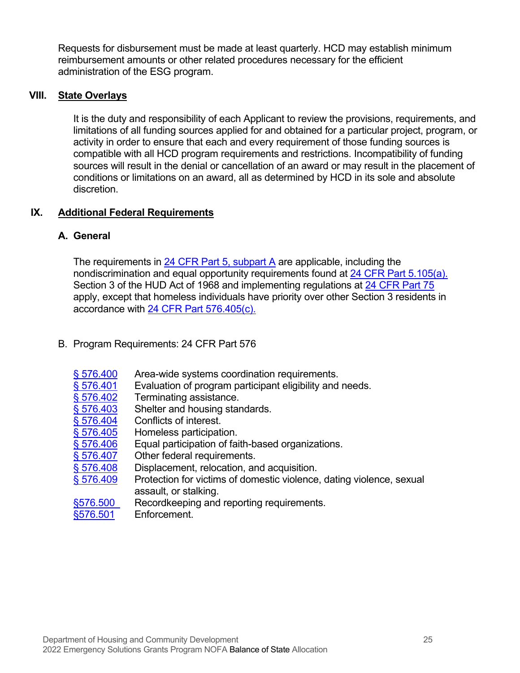Requests for disbursement must be made at least quarterly. HCD may establish minimum reimbursement amounts or other related procedures necessary for the efficient administration of the ESG program.

#### **VIII. State Overlays**

It is the duty and responsibility of each Applicant to review the provisions, requirements, and limitations of all funding sources applied for and obtained for a particular project, program, or activity in order to ensure that each and every requirement of those funding sources is compatible with all HCD program requirements and restrictions. Incompatibility of funding sources will result in the denial or cancellation of an award or may result in the placement of conditions or limitations on an award, all as determined by HCD in its sole and absolute discretion.

# **IX. Additional Federal Requirements**

# <span id="page-28-0"></span>**A. General**

The requirements in  $24$  CFR Part 5, subpart A are applicable, including the nondiscrimination and equal opportunity requirements found at 24 CFR [Part 5.105\(a\).](https://www.ecfr.gov/current/title-24/subtitle-A/part-5/subpart-A/section-5.105) Section 3 of the HUD Act of 1968 and implementing regulations at 24 [CFR Part 75](https://www.ecfr.gov/current/title-24/part-75) apply, except that homeless individuals have priority over other Section 3 residents in accordance with [24 CFR Part](https://www.ecfr.gov/current/title-24/subtitle-B/chapter-V/subchapter-C/part-576/subpart-E/section-576.405) 576.405(c).

- B. Program Requirements: 24 CFR Part 576
	- [§ 576.400](https://www.ecfr.gov/current/title-24/section-576.400) Area-wide systems coordination requirements.
	- [§ 576.401](https://www.ecfr.gov/current/title-24/subtitle-B/chapter-V/subchapter-C/part-576#576.401) Evaluation of program participant eligibility and needs.
	- [§ 576.402](https://www.ecfr.gov/current/title-24/subtitle-B/chapter-V/subchapter-C/part-576/subpart-E/section-576.402) Terminating assistance.
	- $\frac{\$~576.403}{\$~576.404}$  Shelter and housing standards.
	- Conflicts of interest.
	- [§ 576.405](https://www.ecfr.gov/current/title-24/subtitle-B/chapter-V/subchapter-C/part-576/subpart-E/section-576.405) Homeless participation.
	- [§ 576.406](https://www.ecfr.gov/current/title-24/subtitle-B/chapter-V/subchapter-C/part-576/subpart-E/section-576.406) Equal participation of faith-based organizations.
	- [§ 576.407](https://www.ecfr.gov/current/title-24/subtitle-B/chapter-V/subchapter-C/part-576/subpart-E/section-576.407) Other federal requirements.
	- [§ 576.408](https://www.ecfr.gov/current/title-24/subtitle-B/chapter-V/subchapter-C/part-576/subpart-E/section-576.408) Displacement, relocation, and acquisition.
	- [§ 576.409](https://www.ecfr.gov/current/title-24/subtitle-B/chapter-V/subchapter-C/part-576/subpart-E/section-576.409) Protection for victims of domestic violence, dating violence, sexual assault, or stalking.
	- [§576.500](https://www.ecfr.gov/current/title-24/part-576/subpart-F) Recordkeeping and reporting requirements.
	- [§576.501](https://www.ecfr.gov/current/title-24/subtitle-B/chapter-V/subchapter-C/part-576/subpart-F/section-576.501) Enforcement.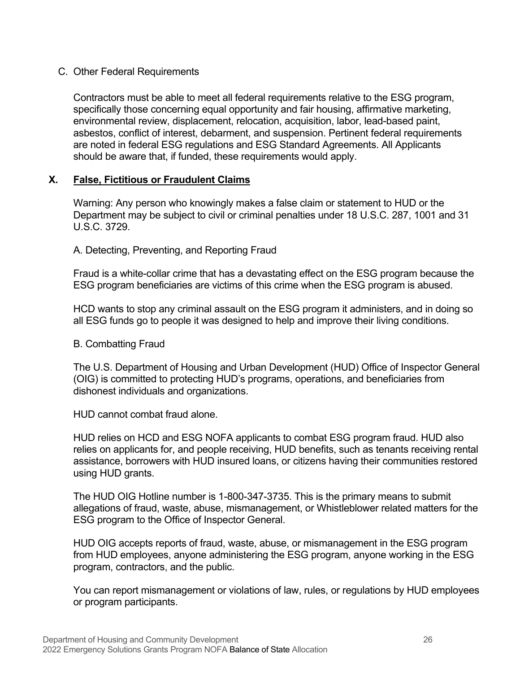#### <span id="page-29-0"></span>C. Other Federal Requirements

Contractors must be able to meet all federal requirements relative to the ESG program, specifically those concerning equal opportunity and fair housing, affirmative marketing, environmental review, displacement, relocation, acquisition, labor, lead-based paint, asbestos, conflict of interest, debarment, and suspension. Pertinent federal requirements are noted in federal ESG regulations and ESG Standard Agreements. All Applicants should be aware that, if funded, these requirements would apply.

#### **X. False, Fictitious or Fraudulent Claims**

Warning: Any person who knowingly makes a false claim or statement to HUD or the Department may be subject to civil or criminal penalties under 18 U.S.C. 287, 1001 and 31 U.S.C. 3729.

A. Detecting, Preventing, and Reporting Fraud

Fraud is a white-collar crime that has a devastating effect on the ESG program because the ESG program beneficiaries are victims of this crime when the ESG program is abused.

HCD wants to stop any criminal assault on the ESG program it administers, and in doing so all ESG funds go to people it was designed to help and improve their living conditions.

#### B. Combatting Fraud

The U.S. Department of Housing and Urban Development (HUD) Office of Inspector General (OIG) is committed to protecting HUD's programs, operations, and beneficiaries from dishonest individuals and organizations.

HUD cannot combat fraud alone.

HUD relies on HCD and ESG NOFA applicants to combat ESG program fraud. HUD also relies on applicants for, and people receiving, HUD benefits, such as tenants receiving rental assistance, borrowers with HUD insured loans, or citizens having their communities restored using HUD grants.

The HUD OIG Hotline number is 1-800-347-3735. This is the primary means to submit allegations of fraud, waste, abuse, mismanagement, or Whistleblower related matters for the ESG program to the Office of Inspector General.

HUD OIG accepts reports of fraud, waste, abuse, or mismanagement in the ESG program from HUD employees, anyone administering the ESG program, anyone working in the ESG program, contractors, and the public.

You can report mismanagement or violations of law, rules, or regulations by HUD employees or program participants.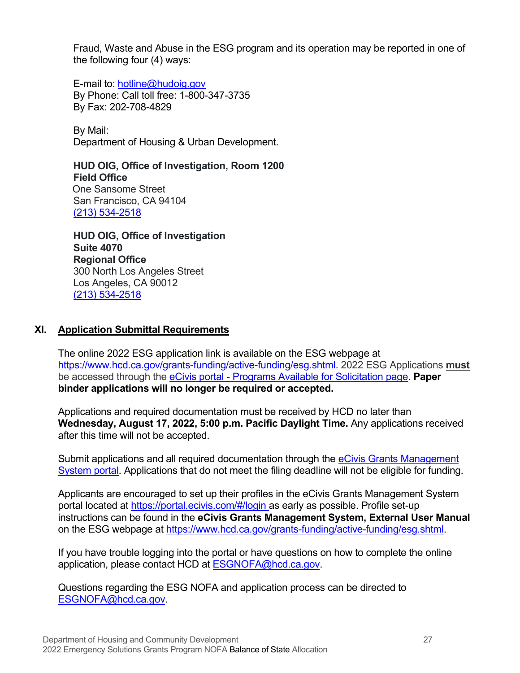Fraud, Waste and Abuse in the ESG program and its operation may be reported in one of the following four (4) ways:

E-mail to: [hotline@hudoig.gov](mailto:hotline@hudoig.gov)  By Phone: Call toll free: 1-800-347-3735 By Fax: 202-708-4829

By Mail: Department of Housing & Urban Development.

**HUD OIG, Office of Investigation, Room 1200 Field Office** One Sansome Street San Francisco, CA 94104 [\(213\) 534-2518](tel:(213)%20534-2518)

**HUD OIG, Office of Investigation Suite 4070 Regional Office** 300 North Los Angeles Street Los Angeles, CA 90012 [\(213\) 534-2518](tel:(213)%20534-2518)

#### <span id="page-30-0"></span>**XI. Application Submittal Requirements**

The online 2022 ESG application link is available on the ESG webpage at [https://www.hcd.ca.gov/grants-funding/active-funding/esg.shtml.](https://www.hcd.ca.gov/grants-funding/active-funding/esg.shtml) 2022 ESG Applications **must**  be accessed through the [eCivis portal - Programs Available for Solicitation page.](https://gn.ecivis.com/GO/gn_redir/T/vyjsqf2kekyx) **Paper binder applications will no longer be required or accepted.** 

Applications and required documentation must be received by HCD no later than **Wednesday, August 17, 2022, 5:00 p.m. Pacific Daylight Time.** Any applications received after this time will not be accepted.

Submit applications and all required documentation through the [eCivis Grants Management](https://portal.ecivis.com/#/login)  [System portal.](https://portal.ecivis.com/#/login) Applications that do not meet the filing deadline will not be eligible for funding.

Applicants are encouraged to set up their profiles in the eCivis Grants Management System portal located at<https://portal.ecivis.com/#/login> as early as possible. Profile set-up instructions can be found in the **[eCivis Grants Management System, External User Manual](https://www.hcd.ca.gov/grants-funding/active-funding/esg/docs/ecivis_grants_network_hcd_external_user_manual_12182019.pdf)** on the ESG webpage at [https://www.hcd.ca.gov/grants-funding/active-funding/esg.shtml.](https://www.hcd.ca.gov/grants-funding/active-funding/esg.shtml)

If you have trouble logging into the portal or have questions on how to complete the online application, please contact HCD at **[ESGNOFA@hcd.ca.gov.](mailto:ESGNOFA@hcd.ca.gov)** 

<span id="page-30-1"></span>Questions regarding the ESG NOFA and application process can be directed to [ESGNOFA@hcd.ca.gov.](mailto:ESGNOFA@hcd.ca.gov)